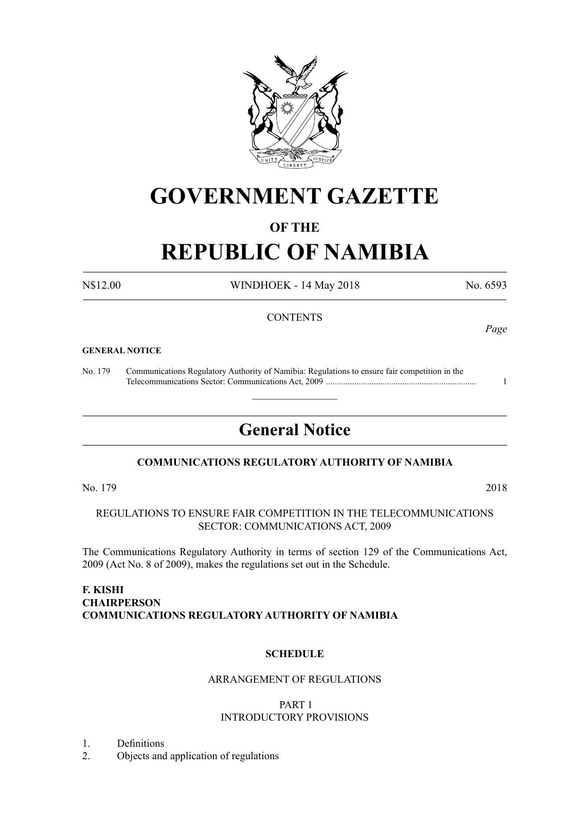

# **GOVERNMENT GAZETTE**

# **OF THE**

# **REPUBLIC OF NAMIBIA**

N\$12.00 WINDHOEK - 14 May 2018 No. 6593

*Page*

# **CONTENTS**

#### **GENERAL NOTICE**

No. 179 Communications Regulatory Authority of Namibia: Regulations to ensure fair competition in the Telecommunications Sector: Communications Act, 2009 ..................................................................... 1

# **General Notice**

 $\overline{\phantom{a}}$  , where  $\overline{\phantom{a}}$ 

# **COMMUNICATIONS REGULATORY AUTHORITY OF NAMIBIA**

No. 179 2018

REGULATIONS TO ENSURE FAIR COMPETITION IN THE TELECOMMUNICATIONS SECTOR: COMMUNICATIONS ACT, 2009

The Communications Regulatory Authority in terms of section 129 of the Communications Act, 2009 (Act No. 8 of 2009), makes the regulations set out in the Schedule.

# **F. KISHI CHAIRPERSON COMMUNICATIONS REGULATORY AUTHORITY OF NAMIBIA**

#### **SCHEDULE**

# ARRANGEMENT OF REGULATIONS

#### PART 1 INTRODUCTORY PROVISIONS

1. Definitions

2. Objects and application of regulations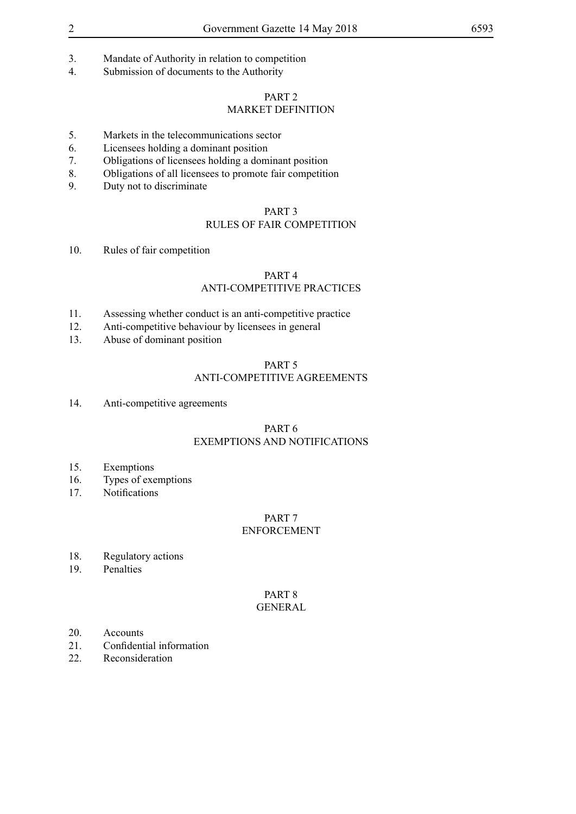- 3. Mandate of Authority in relation to competition
- 4. Submission of documents to the Authority

#### PART 2

# MARKET DEFINITION

- 5. Markets in the telecommunications sector
- 6. Licensees holding a dominant position
- 7. Obligations of licensees holding a dominant position
- 8. Obligations of all licensees to promote fair competition
- 9. Duty not to discriminate

#### PART 3

# RULES OF FAIR COMPETITION

10. Rules of fair competition

### PART 4

# ANTI-COMPETITIVE PRACTICES

- 11. Assessing whether conduct is an anti-competitive practice
- 12. Anti-competitive behaviour by licensees in general
- 13. Abuse of dominant position

#### PART 5

# ANTI-COMPETITIVE AGREEMENTS

14. Anti-competitive agreements

#### PART 6 EXEMPTIONS AND NOTIFICATIONS

- 15. Exemptions
- 16. Types of exemptions
- 17. Notifications

#### PART 7 ENFORCEMENT

- 18. Regulatory actions
- 19. Penalties

#### PART 8 GENERAL

- 20. Accounts
- 21. Confidential information
- 22. Reconsideration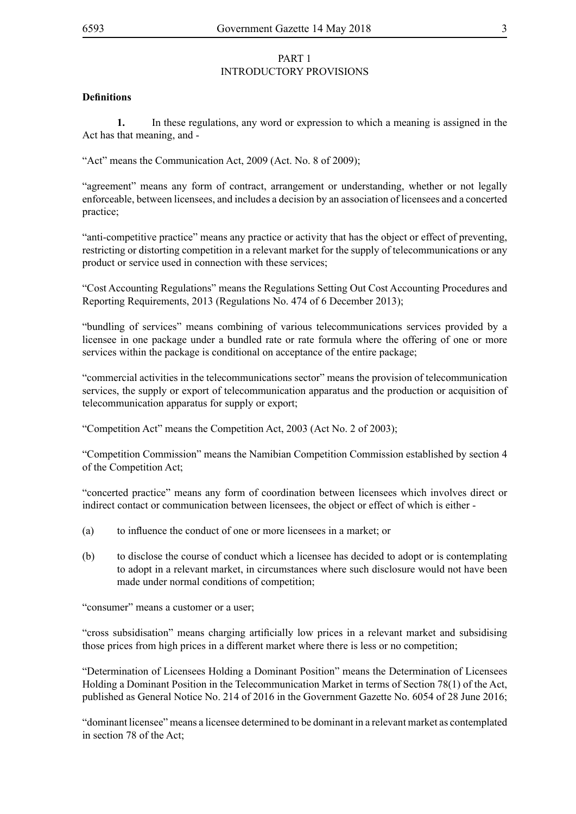# PART 1 INTRODUCTORY PROVISIONS

# **Definitions**

**1.** In these regulations, any word or expression to which a meaning is assigned in the Act has that meaning, and -

"Act" means the Communication Act, 2009 (Act. No. 8 of 2009);

"agreement" means any form of contract, arrangement or understanding, whether or not legally enforceable, between licensees, and includes a decision by an association of licensees and a concerted practice;

"anti-competitive practice" means any practice or activity that has the object or effect of preventing, restricting or distorting competition in a relevant market for the supply of telecommunications or any product or service used in connection with these services;

"Cost Accounting Regulations" means the Regulations Setting Out Cost Accounting Procedures and Reporting Requirements, 2013 (Regulations No. 474 of 6 December 2013);

"bundling of services" means combining of various telecommunications services provided by a licensee in one package under a bundled rate or rate formula where the offering of one or more services within the package is conditional on acceptance of the entire package;

"commercial activities in the telecommunications sector" means the provision of telecommunication services, the supply or export of telecommunication apparatus and the production or acquisition of telecommunication apparatus for supply or export;

"Competition Act" means the Competition Act, 2003 (Act No. 2 of 2003);

"Competition Commission" means the Namibian Competition Commission established by section 4 of the Competition Act;

"concerted practice" means any form of coordination between licensees which involves direct or indirect contact or communication between licensees, the object or effect of which is either -

- (a) to influence the conduct of one or more licensees in a market; or
- (b) to disclose the course of conduct which a licensee has decided to adopt or is contemplating to adopt in a relevant market, in circumstances where such disclosure would not have been made under normal conditions of competition;

"consumer" means a customer or a user;

"cross subsidisation" means charging artificially low prices in a relevant market and subsidising those prices from high prices in a different market where there is less or no competition;

"Determination of Licensees Holding a Dominant Position" means the Determination of Licensees Holding a Dominant Position in the Telecommunication Market in terms of Section 78(1) of the Act, published as General Notice No. 214 of 2016 in the Government Gazette No. 6054 of 28 June 2016;

"dominant licensee" means a licensee determined to be dominant in a relevant market as contemplated in section 78 of the Act;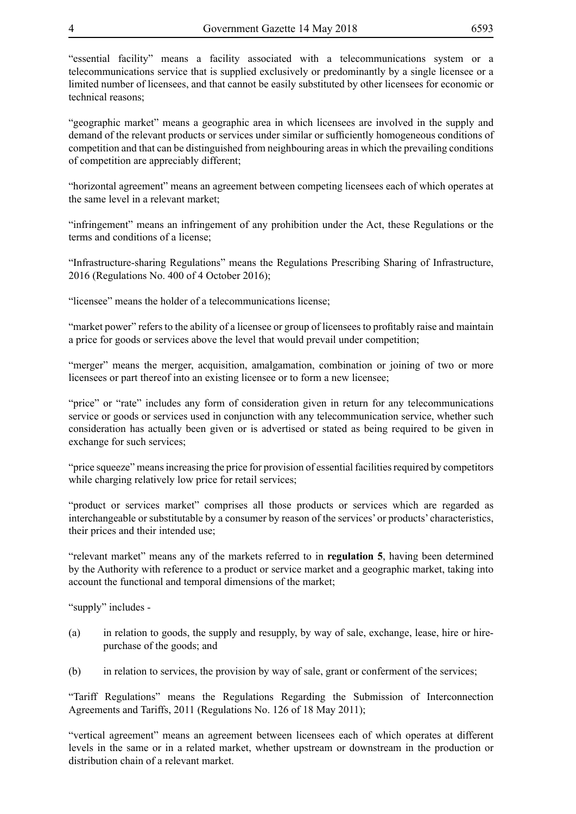"essential facility" means a facility associated with a telecommunications system or a telecommunications service that is supplied exclusively or predominantly by a single licensee or a limited number of licensees, and that cannot be easily substituted by other licensees for economic or technical reasons;

"geographic market" means a geographic area in which licensees are involved in the supply and demand of the relevant products or services under similar or sufficiently homogeneous conditions of competition and that can be distinguished from neighbouring areas in which the prevailing conditions of competition are appreciably different;

"horizontal agreement" means an agreement between competing licensees each of which operates at the same level in a relevant market;

"infringement" means an infringement of any prohibition under the Act, these Regulations or the terms and conditions of a license;

"Infrastructure-sharing Regulations" means the Regulations Prescribing Sharing of Infrastructure, 2016 (Regulations No. 400 of 4 October 2016);

"licensee" means the holder of a telecommunications license;

"market power" refers to the ability of a licensee or group of licensees to profitably raise and maintain a price for goods or services above the level that would prevail under competition;

"merger" means the merger, acquisition, amalgamation, combination or joining of two or more licensees or part thereof into an existing licensee or to form a new licensee;

"price" or "rate" includes any form of consideration given in return for any telecommunications service or goods or services used in conjunction with any telecommunication service, whether such consideration has actually been given or is advertised or stated as being required to be given in exchange for such services;

"price squeeze" means increasing the price for provision of essential facilities required by competitors while charging relatively low price for retail services;

"product or services market" comprises all those products or services which are regarded as interchangeable or substitutable by a consumer by reason of the services' or products' characteristics, their prices and their intended use;

"relevant market" means any of the markets referred to in **regulation 5**, having been determined by the Authority with reference to a product or service market and a geographic market, taking into account the functional and temporal dimensions of the market;

"supply" includes -

- (a) in relation to goods, the supply and resupply, by way of sale, exchange, lease, hire or hirepurchase of the goods; and
- (b) in relation to services, the provision by way of sale, grant or conferment of the services;

"Tariff Regulations" means the Regulations Regarding the Submission of Interconnection Agreements and Tariffs, 2011 (Regulations No. 126 of 18 May 2011);

"vertical agreement" means an agreement between licensees each of which operates at different levels in the same or in a related market, whether upstream or downstream in the production or distribution chain of a relevant market.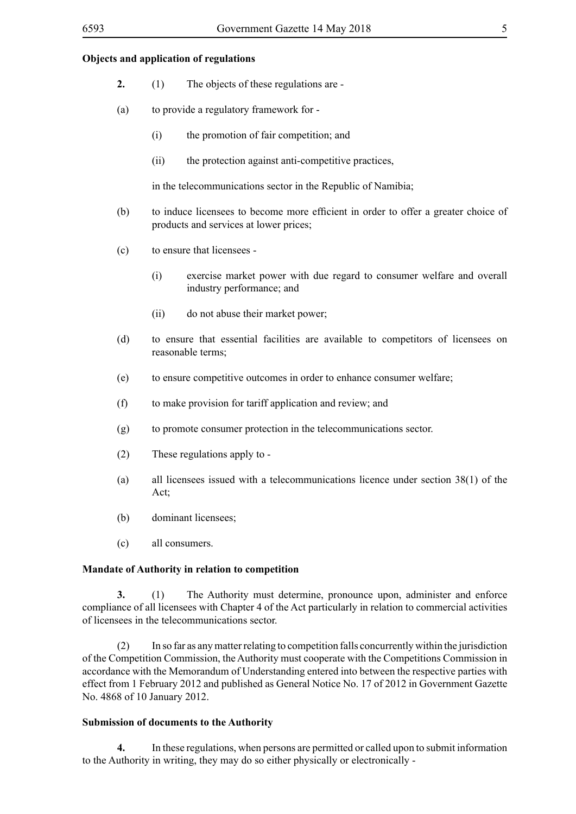#### **Objects and application of regulations**

- **2.** (1) The objects of these regulations are -
- (a) to provide a regulatory framework for
	- (i) the promotion of fair competition; and
	- (ii) the protection against anti-competitive practices,

in the telecommunications sector in the Republic of Namibia;

- (b) to induce licensees to become more efficient in order to offer a greater choice of products and services at lower prices;
- (c) to ensure that licensees
	- (i) exercise market power with due regard to consumer welfare and overall industry performance; and
	- (ii) do not abuse their market power;
- (d) to ensure that essential facilities are available to competitors of licensees on reasonable terms;
- (e) to ensure competitive outcomes in order to enhance consumer welfare;
- (f) to make provision for tariff application and review; and
- (g) to promote consumer protection in the telecommunications sector.
- (2) These regulations apply to -
- (a) all licensees issued with a telecommunications licence under section 38(1) of the Act;
- (b) dominant licensees;
- (c) all consumers.

#### **Mandate of Authority in relation to competition**

**3.** (1) The Authority must determine, pronounce upon, administer and enforce compliance of all licensees with Chapter 4 of the Act particularly in relation to commercial activities of licensees in the telecommunications sector.

(2) In so far as any matter relating to competition falls concurrently within the jurisdiction of the Competition Commission, the Authority must cooperate with the Competitions Commission in accordance with the Memorandum of Understanding entered into between the respective parties with effect from 1 February 2012 and published as General Notice No. 17 of 2012 in Government Gazette No. 4868 of 10 January 2012.

#### **Submission of documents to the Authority**

**4.** In these regulations, when persons are permitted or called upon to submit information to the Authority in writing, they may do so either physically or electronically -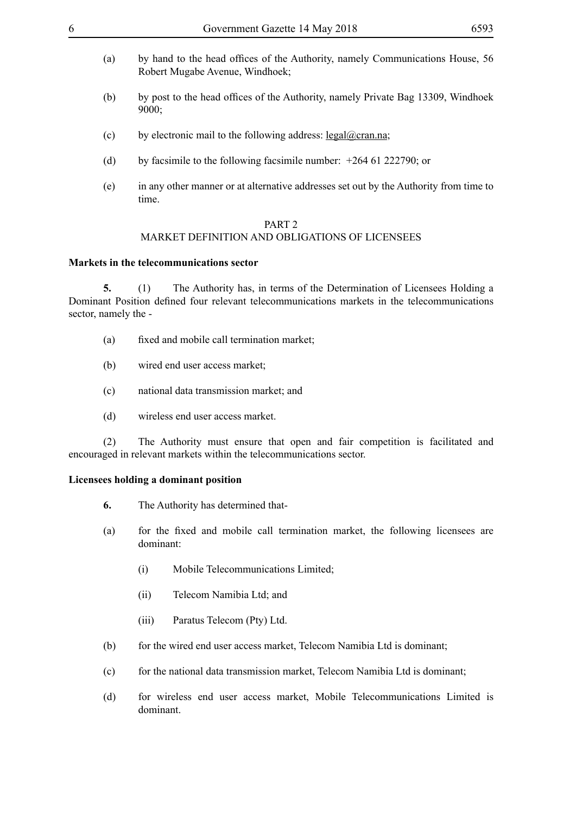- (a) by hand to the head offices of the Authority, namely Communications House, 56 Robert Mugabe Avenue, Windhoek;
- (b) by post to the head offices of the Authority, namely Private Bag 13309, Windhoek 9000;
- (c) by electronic mail to the following address: legal@cran.na;
- (d) by facsimile to the following facsimile number: +264 61 222790; or
- (e) in any other manner or at alternative addresses set out by the Authority from time to time.

#### PART 2 MARKET DEFINITION AND OBLIGATIONS OF LICENSEES

#### **Markets in the telecommunications sector**

**5.** (1) The Authority has, in terms of the Determination of Licensees Holding a Dominant Position defined four relevant telecommunications markets in the telecommunications sector, namely the -

- (a) fixed and mobile call termination market;
- (b) wired end user access market;
- (c) national data transmission market; and
- (d) wireless end user access market.

(2) The Authority must ensure that open and fair competition is facilitated and encouraged in relevant markets within the telecommunications sector.

#### **Licensees holding a dominant position**

- **6.** The Authority has determined that-
- (a) for the fixed and mobile call termination market, the following licensees are dominant:
	- (i) Mobile Telecommunications Limited;
	- (ii) Telecom Namibia Ltd; and
	- (iii) Paratus Telecom (Pty) Ltd.
- (b) for the wired end user access market, Telecom Namibia Ltd is dominant;
- (c) for the national data transmission market, Telecom Namibia Ltd is dominant;
- (d) for wireless end user access market, Mobile Telecommunications Limited is dominant.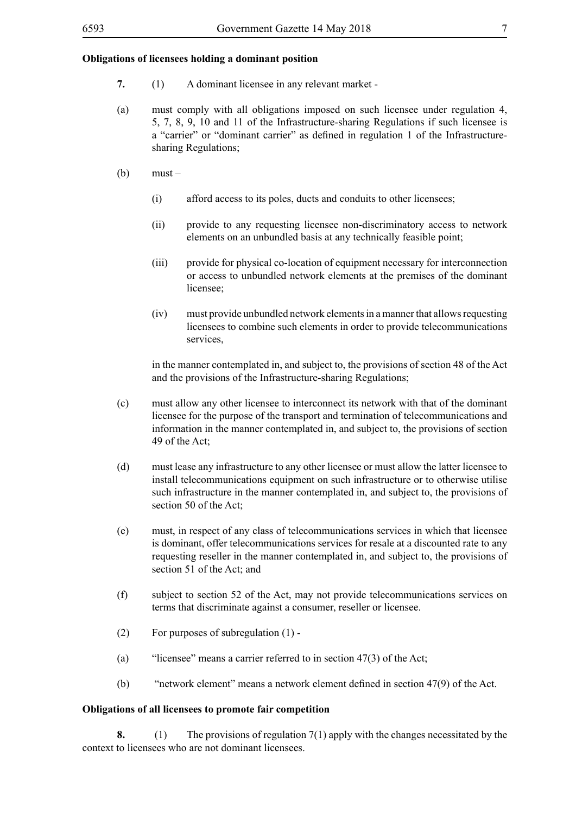#### **Obligations of licensees holding a dominant position**

- **7.** (1) A dominant licensee in any relevant market -
- (a) must comply with all obligations imposed on such licensee under regulation 4, 5, 7, 8, 9, 10 and 11 of the Infrastructure-sharing Regulations if such licensee is a "carrier" or "dominant carrier" as defined in regulation 1 of the Infrastructuresharing Regulations;
- $(b)$  must
	- (i) afford access to its poles, ducts and conduits to other licensees;
	- (ii) provide to any requesting licensee non-discriminatory access to network elements on an unbundled basis at any technically feasible point;
	- (iii) provide for physical co-location of equipment necessary for interconnection or access to unbundled network elements at the premises of the dominant licensee<sup>.</sup>
	- (iv) must provide unbundled network elements in a manner that allows requesting licensees to combine such elements in order to provide telecommunications services,

in the manner contemplated in, and subject to, the provisions of section 48 of the Act and the provisions of the Infrastructure-sharing Regulations;

- (c) must allow any other licensee to interconnect its network with that of the dominant licensee for the purpose of the transport and termination of telecommunications and information in the manner contemplated in, and subject to, the provisions of section 49 of the Act;
- (d) must lease any infrastructure to any other licensee or must allow the latter licensee to install telecommunications equipment on such infrastructure or to otherwise utilise such infrastructure in the manner contemplated in, and subject to, the provisions of section 50 of the Act;
- (e) must, in respect of any class of telecommunications services in which that licensee is dominant, offer telecommunications services for resale at a discounted rate to any requesting reseller in the manner contemplated in, and subject to, the provisions of section 51 of the Act; and
- (f) subject to section 52 of the Act, may not provide telecommunications services on terms that discriminate against a consumer, reseller or licensee.
- (2) For purposes of subregulation (1) -
- (a) "licensee" means a carrier referred to in section 47(3) of the Act;
- (b) "network element" means a network element defined in section 47(9) of the Act.

#### **Obligations of all licensees to promote fair competition**

**8.** (1) The provisions of regulation 7(1) apply with the changes necessitated by the context to licensees who are not dominant licensees.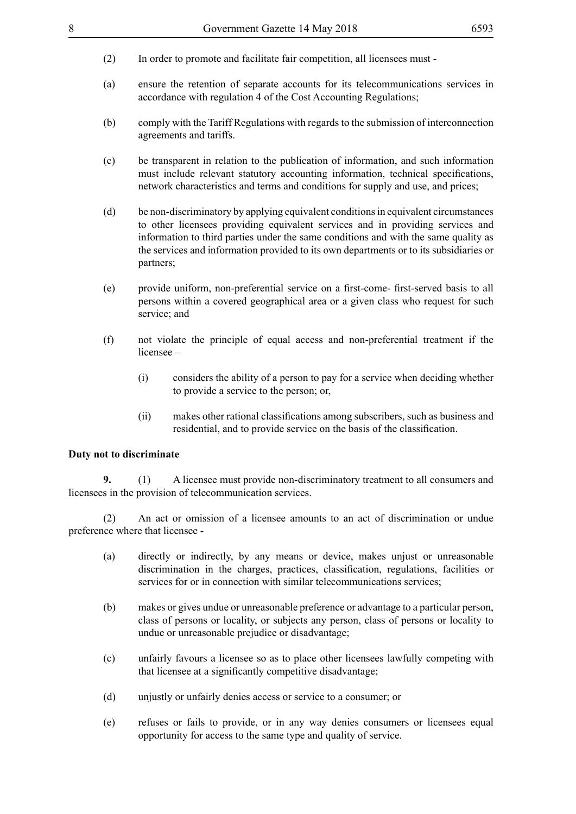- (2) In order to promote and facilitate fair competition, all licensees must -
- (a) ensure the retention of separate accounts for its telecommunications services in accordance with regulation 4 of the Cost Accounting Regulations;
- (b) comply with the Tariff Regulations with regards to the submission of interconnection agreements and tariffs.
- (c) be transparent in relation to the publication of information, and such information must include relevant statutory accounting information, technical specifications, network characteristics and terms and conditions for supply and use, and prices;
- (d) be non-discriminatory by applying equivalent conditions in equivalent circumstances to other licensees providing equivalent services and in providing services and information to third parties under the same conditions and with the same quality as the services and information provided to its own departments or to its subsidiaries or partners;
- (e) provide uniform, non-preferential service on a first-come- first-served basis to all persons within a covered geographical area or a given class who request for such service; and
- (f) not violate the principle of equal access and non-preferential treatment if the licensee –
	- (i) considers the ability of a person to pay for a service when deciding whether to provide a service to the person; or,
	- (ii) makes other rational classifications among subscribers, such as business and residential, and to provide service on the basis of the classification.

#### **Duty not to discriminate**

**9.** (1) A licensee must provide non-discriminatory treatment to all consumers and licensees in the provision of telecommunication services.

(2) An act or omission of a licensee amounts to an act of discrimination or undue preference where that licensee -

- (a) directly or indirectly, by any means or device, makes unjust or unreasonable discrimination in the charges, practices, classification, regulations, facilities or services for or in connection with similar telecommunications services;
- (b) makes or gives undue or unreasonable preference or advantage to a particular person, class of persons or locality, or subjects any person, class of persons or locality to undue or unreasonable prejudice or disadvantage;
- (c) unfairly favours a licensee so as to place other licensees lawfully competing with that licensee at a significantly competitive disadvantage;
- (d) unjustly or unfairly denies access or service to a consumer; or
- (e) refuses or fails to provide, or in any way denies consumers or licensees equal opportunity for access to the same type and quality of service.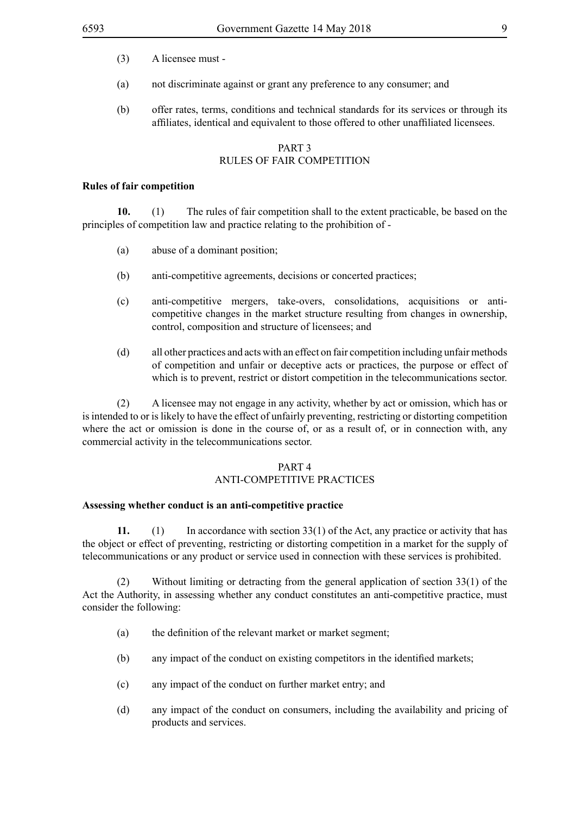- (3) A licensee must -
- (a) not discriminate against or grant any preference to any consumer; and
- (b) offer rates, terms, conditions and technical standards for its services or through its affiliates, identical and equivalent to those offered to other unaffiliated licensees.

# PART 3 RULES OF FAIR COMPETITION

#### **Rules of fair competition**

**10.** (1) The rules of fair competition shall to the extent practicable, be based on the principles of competition law and practice relating to the prohibition of -

- (a) abuse of a dominant position;
- (b) anti-competitive agreements, decisions or concerted practices;
- (c) anti-competitive mergers, take-overs, consolidations, acquisitions or anticompetitive changes in the market structure resulting from changes in ownership, control, composition and structure of licensees; and
- (d) all other practices and acts with an effect on fair competition including unfair methods of competition and unfair or deceptive acts or practices, the purpose or effect of which is to prevent, restrict or distort competition in the telecommunications sector.

(2) A licensee may not engage in any activity, whether by act or omission, which has or is intended to or is likely to have the effect of unfairly preventing, restricting or distorting competition where the act or omission is done in the course of, or as a result of, or in connection with, any commercial activity in the telecommunications sector.

#### PART 4

#### ANTI-COMPETITIVE PRACTICES

#### **Assessing whether conduct is an anti-competitive practice**

**11.** (1) In accordance with section 33(1) of the Act, any practice or activity that has the object or effect of preventing, restricting or distorting competition in a market for the supply of telecommunications or any product or service used in connection with these services is prohibited.

(2) Without limiting or detracting from the general application of section 33(1) of the Act the Authority, in assessing whether any conduct constitutes an anti-competitive practice, must consider the following:

- (a) the definition of the relevant market or market segment;
- (b) any impact of the conduct on existing competitors in the identified markets;
- (c) any impact of the conduct on further market entry; and
- (d) any impact of the conduct on consumers, including the availability and pricing of products and services.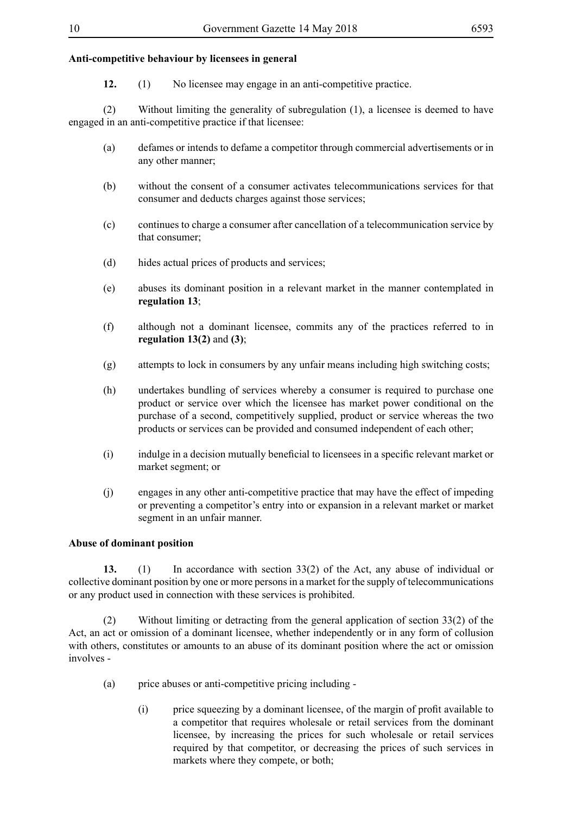#### **Anti-competitive behaviour by licensees in general**

**12.** (1) No licensee may engage in an anti-competitive practice.

(2) Without limiting the generality of subregulation (1), a licensee is deemed to have engaged in an anti-competitive practice if that licensee:

- (a) defames or intends to defame a competitor through commercial advertisements or in any other manner;
- (b) without the consent of a consumer activates telecommunications services for that consumer and deducts charges against those services;
- (c) continues to charge a consumer after cancellation of a telecommunication service by that consumer;
- (d) hides actual prices of products and services;
- (e) abuses its dominant position in a relevant market in the manner contemplated in **regulation 13**;
- (f) although not a dominant licensee, commits any of the practices referred to in **regulation 13(2)** and **(3)**;
- (g) attempts to lock in consumers by any unfair means including high switching costs;
- (h) undertakes bundling of services whereby a consumer is required to purchase one product or service over which the licensee has market power conditional on the purchase of a second, competitively supplied, product or service whereas the two products or services can be provided and consumed independent of each other;
- (i) indulge in a decision mutually beneficial to licensees in a specific relevant market or market segment; or
- (j) engages in any other anti-competitive practice that may have the effect of impeding or preventing a competitor's entry into or expansion in a relevant market or market segment in an unfair manner.

## **Abuse of dominant position**

**13.** (1) In accordance with section 33(2) of the Act, any abuse of individual or collective dominant position by one or more persons in a market for the supply of telecommunications or any product used in connection with these services is prohibited.

(2) Without limiting or detracting from the general application of section 33(2) of the Act, an act or omission of a dominant licensee, whether independently or in any form of collusion with others, constitutes or amounts to an abuse of its dominant position where the act or omission involves -

- (a) price abuses or anti-competitive pricing including
	- (i) price squeezing by a dominant licensee, of the margin of profit available to a competitor that requires wholesale or retail services from the dominant licensee, by increasing the prices for such wholesale or retail services required by that competitor, or decreasing the prices of such services in markets where they compete, or both;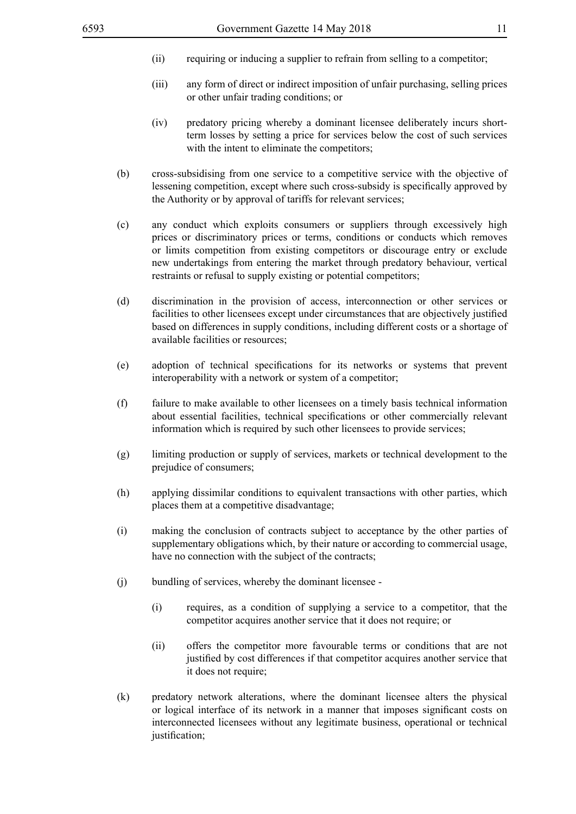- (ii) requiring or inducing a supplier to refrain from selling to a competitor;
- (iii) any form of direct or indirect imposition of unfair purchasing, selling prices or other unfair trading conditions; or
- (iv) predatory pricing whereby a dominant licensee deliberately incurs shortterm losses by setting a price for services below the cost of such services with the intent to eliminate the competitors;
- (b) cross-subsidising from one service to a competitive service with the objective of lessening competition, except where such cross-subsidy is specifically approved by the Authority or by approval of tariffs for relevant services;
- (c) any conduct which exploits consumers or suppliers through excessively high prices or discriminatory prices or terms, conditions or conducts which removes or limits competition from existing competitors or discourage entry or exclude new undertakings from entering the market through predatory behaviour, vertical restraints or refusal to supply existing or potential competitors;
- (d) discrimination in the provision of access, interconnection or other services or facilities to other licensees except under circumstances that are objectively justified based on differences in supply conditions, including different costs or a shortage of available facilities or resources;
- (e) adoption of technical specifications for its networks or systems that prevent interoperability with a network or system of a competitor;
- (f) failure to make available to other licensees on a timely basis technical information about essential facilities, technical specifications or other commercially relevant information which is required by such other licensees to provide services;
- (g) limiting production or supply of services, markets or technical development to the prejudice of consumers;
- (h) applying dissimilar conditions to equivalent transactions with other parties, which places them at a competitive disadvantage;
- (i) making the conclusion of contracts subject to acceptance by the other parties of supplementary obligations which, by their nature or according to commercial usage, have no connection with the subject of the contracts;
- (j) bundling of services, whereby the dominant licensee
	- (i) requires, as a condition of supplying a service to a competitor, that the competitor acquires another service that it does not require; or
	- (ii) offers the competitor more favourable terms or conditions that are not justified by cost differences if that competitor acquires another service that it does not require;
- (k) predatory network alterations, where the dominant licensee alters the physical or logical interface of its network in a manner that imposes significant costs on interconnected licensees without any legitimate business, operational or technical justification;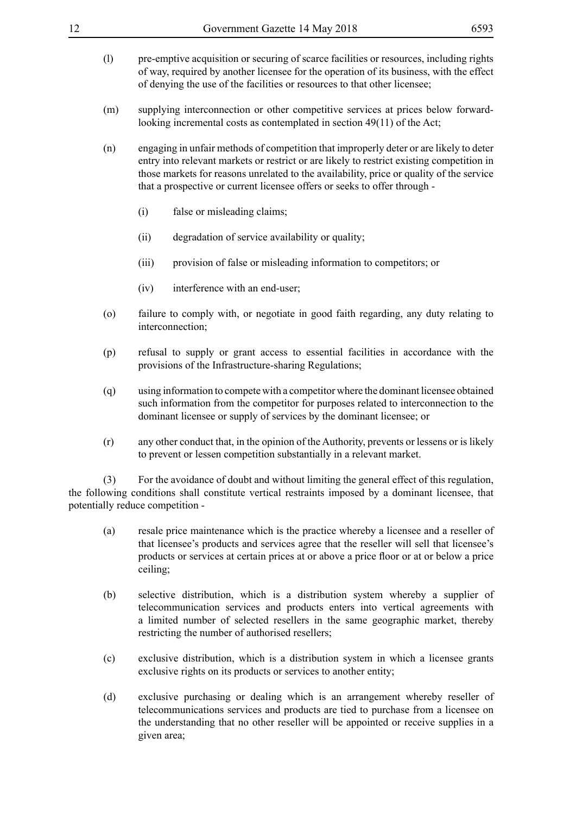| 12  | Government Gazette 14 May 2018                                                                                                                                                                                                                                                                                                                               | 6593 |
|-----|--------------------------------------------------------------------------------------------------------------------------------------------------------------------------------------------------------------------------------------------------------------------------------------------------------------------------------------------------------------|------|
| (1) | pre-emptive acquisition or securing of scarce facilities or resources, including rights<br>of way, required by another licensee for the operation of its business, with the effect<br>of denying the use of the facilities or resources to that other licensee;                                                                                              |      |
| (m) | supplying interconnection or other competitive services at prices below forward-<br>looking incremental costs as contemplated in section 49(11) of the Act;                                                                                                                                                                                                  |      |
| (n) | engaging in unfair methods of competition that improperly deter or are likely to deter<br>entry into relevant markets or restrict or are likely to restrict existing competition in<br>those markets for reasons unrelated to the availability, price or quality of the service<br>that a prospective or current licensee offers or seeks to offer through - |      |
|     | false or misleading claims;<br>(i)                                                                                                                                                                                                                                                                                                                           |      |
|     | degradation of service availability or quality;<br>(ii)                                                                                                                                                                                                                                                                                                      |      |
|     | provision of false or misleading information to competitors; or<br>(iii)                                                                                                                                                                                                                                                                                     |      |
|     | interference with an end-user;<br>(iv)                                                                                                                                                                                                                                                                                                                       |      |
| (0) | failure to comply with, or negotiate in good faith regarding, any duty relating to<br>interconnection;                                                                                                                                                                                                                                                       |      |
| (p) | refusal to supply or grant access to essential facilities in accordance with the<br>provisions of the Infrastructure-sharing Regulations;                                                                                                                                                                                                                    |      |
| (q) | using information to compete with a competitor where the dominant licensee obtained<br>such information from the competitor for purposes related to interconnection to the<br>dominant licensee or supply of services by the dominant licensee; or                                                                                                           |      |
| (r) | any other conduct that, in the opinion of the Authority, prevents or lessens or is likely<br>to prevent or lessen competition substantially in a relevant market.                                                                                                                                                                                            |      |
| (3) | For the avoidance of doubt and without limiting the general effect of this regulation,<br>the following conditions shall constitute vertical restraints imposed by a dominant licensee, that<br>potentially reduce competition -                                                                                                                             |      |
| (a) | resale price maintenance which is the practice whereby a licensee and a reseller of<br>that licensee's products and services agree that the reseller will sell that licensee's<br>products or services at certain prices at or above a price floor or at or below a price<br>ceiling;                                                                        |      |

- (b) selective distribution, which is a distribution system whereby a supplier of telecommunication services and products enters into vertical agreements with a limited number of selected resellers in the same geographic market, thereby restricting the number of authorised resellers;
- (c) exclusive distribution, which is a distribution system in which a licensee grants exclusive rights on its products or services to another entity;
- (d) exclusive purchasing or dealing which is an arrangement whereby reseller of telecommunications services and products are tied to purchase from a licensee on the understanding that no other reseller will be appointed or receive supplies in a given area;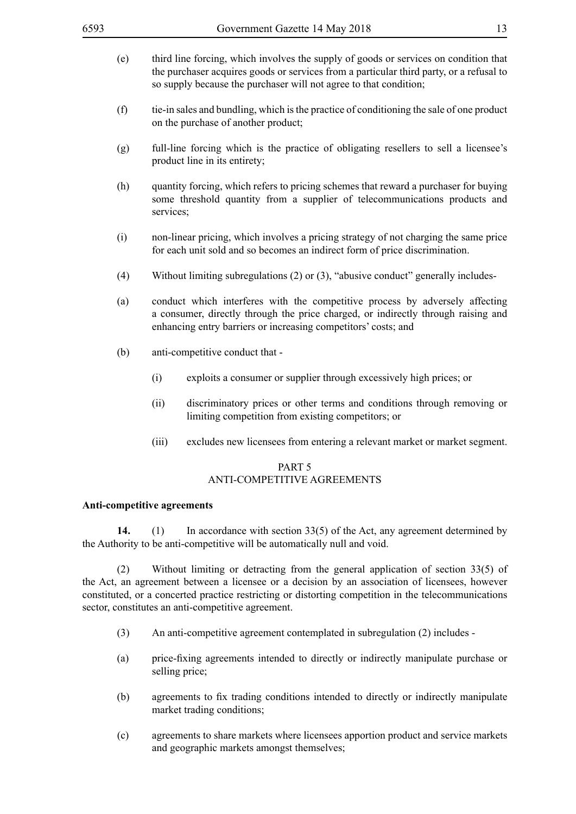- (e) third line forcing, which involves the supply of goods or services on condition that the purchaser acquires goods or services from a particular third party, or a refusal to so supply because the purchaser will not agree to that condition;
- (f) tie-in sales and bundling, which is the practice of conditioning the sale of one product on the purchase of another product;
- (g) full-line forcing which is the practice of obligating resellers to sell a licensee's product line in its entirety;
- (h) quantity forcing, which refers to pricing schemes that reward a purchaser for buying some threshold quantity from a supplier of telecommunications products and services;
- (i) non-linear pricing, which involves a pricing strategy of not charging the same price for each unit sold and so becomes an indirect form of price discrimination.
- (4) Without limiting subregulations (2) or (3), "abusive conduct" generally includes-
- (a) conduct which interferes with the competitive process by adversely affecting a consumer, directly through the price charged, or indirectly through raising and enhancing entry barriers or increasing competitors' costs; and
- (b) anti-competitive conduct that
	- (i) exploits a consumer or supplier through excessively high prices; or
	- (ii) discriminatory prices or other terms and conditions through removing or limiting competition from existing competitors; or
	- (iii) excludes new licensees from entering a relevant market or market segment.

# PART 5 ANTI-COMPETITIVE AGREEMENTS

#### **Anti-competitive agreements**

**14.** (1) In accordance with section 33(5) of the Act, any agreement determined by the Authority to be anti-competitive will be automatically null and void.

(2) Without limiting or detracting from the general application of section 33(5) of the Act, an agreement between a licensee or a decision by an association of licensees, however constituted, or a concerted practice restricting or distorting competition in the telecommunications sector, constitutes an anti-competitive agreement.

- (3) An anti-competitive agreement contemplated in subregulation (2) includes -
- (a) price-fixing agreements intended to directly or indirectly manipulate purchase or selling price;
- (b) agreements to fix trading conditions intended to directly or indirectly manipulate market trading conditions;
- (c) agreements to share markets where licensees apportion product and service markets and geographic markets amongst themselves;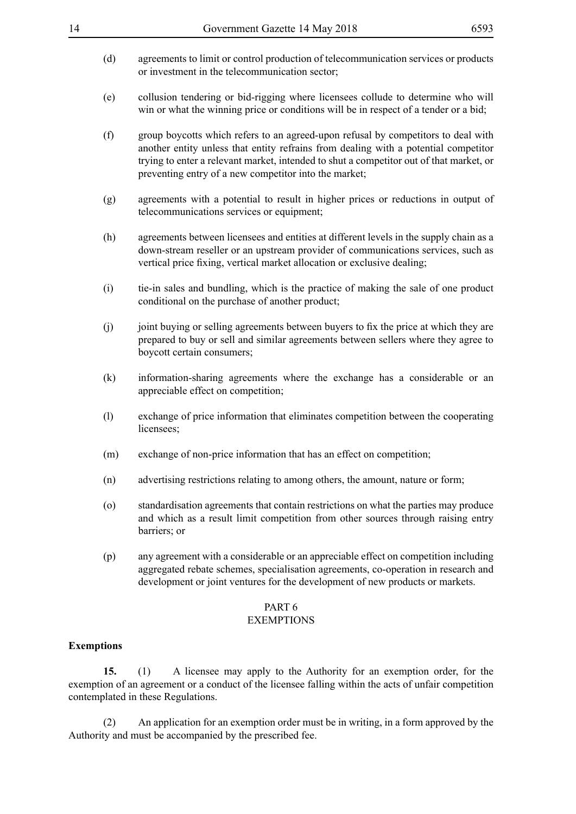- (d) agreements to limit or control production of telecommunication services or products or investment in the telecommunication sector;
- (e) collusion tendering or bid-rigging where licensees collude to determine who will win or what the winning price or conditions will be in respect of a tender or a bid;
- (f) group boycotts which refers to an agreed-upon refusal by competitors to deal with another entity unless that entity refrains from dealing with a potential competitor trying to enter a relevant market, intended to shut a competitor out of that market, or preventing entry of a new competitor into the market;
- (g) agreements with a potential to result in higher prices or reductions in output of telecommunications services or equipment;
- (h) agreements between licensees and entities at different levels in the supply chain as a down-stream reseller or an upstream provider of communications services, such as vertical price fixing, vertical market allocation or exclusive dealing;
- (i) tie-in sales and bundling, which is the practice of making the sale of one product conditional on the purchase of another product;
- (j) joint buying or selling agreements between buyers to fix the price at which they are prepared to buy or sell and similar agreements between sellers where they agree to boycott certain consumers;
- (k) information-sharing agreements where the exchange has a considerable or an appreciable effect on competition;
- (l) exchange of price information that eliminates competition between the cooperating licensees;
- (m) exchange of non-price information that has an effect on competition;
- (n) advertising restrictions relating to among others, the amount, nature or form;
- (o) standardisation agreements that contain restrictions on what the parties may produce and which as a result limit competition from other sources through raising entry barriers; or
- (p) any agreement with a considerable or an appreciable effect on competition including aggregated rebate schemes, specialisation agreements, co-operation in research and development or joint ventures for the development of new products or markets.

#### PART 6

#### EXEMPTIONS

#### **Exemptions**

**15.** (1) A licensee may apply to the Authority for an exemption order, for the exemption of an agreement or a conduct of the licensee falling within the acts of unfair competition contemplated in these Regulations.

(2) An application for an exemption order must be in writing, in a form approved by the Authority and must be accompanied by the prescribed fee.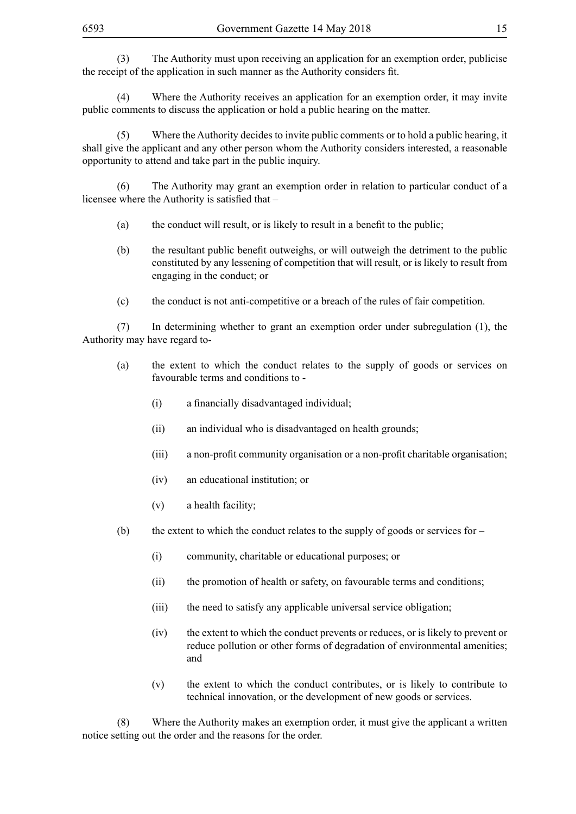(3) The Authority must upon receiving an application for an exemption order, publicise the receipt of the application in such manner as the Authority considers fit.

(4) Where the Authority receives an application for an exemption order, it may invite public comments to discuss the application or hold a public hearing on the matter.

(5) Where the Authority decides to invite public comments or to hold a public hearing, it shall give the applicant and any other person whom the Authority considers interested, a reasonable opportunity to attend and take part in the public inquiry.

(6) The Authority may grant an exemption order in relation to particular conduct of a licensee where the Authority is satisfied that –

- (a) the conduct will result, or is likely to result in a benefit to the public;
- (b) the resultant public benefit outweighs, or will outweigh the detriment to the public constituted by any lessening of competition that will result, or is likely to result from engaging in the conduct; or
- (c) the conduct is not anti-competitive or a breach of the rules of fair competition.

(7) In determining whether to grant an exemption order under subregulation (1), the Authority may have regard to-

- (a) the extent to which the conduct relates to the supply of goods or services on favourable terms and conditions to -
	- (i) a financially disadvantaged individual;
	- (ii) an individual who is disadvantaged on health grounds;
	- (iii) a non-profit community organisation or a non-profit charitable organisation;
	- (iv) an educational institution; or
	- (v) a health facility;
- (b) the extent to which the conduct relates to the supply of goods or services for
	- (i) community, charitable or educational purposes; or
	- (ii) the promotion of health or safety, on favourable terms and conditions;
	- (iii) the need to satisfy any applicable universal service obligation;
	- (iv) the extent to which the conduct prevents or reduces, or is likely to prevent or reduce pollution or other forms of degradation of environmental amenities; and
	- (v) the extent to which the conduct contributes, or is likely to contribute to technical innovation, or the development of new goods or services.

(8) Where the Authority makes an exemption order, it must give the applicant a written notice setting out the order and the reasons for the order.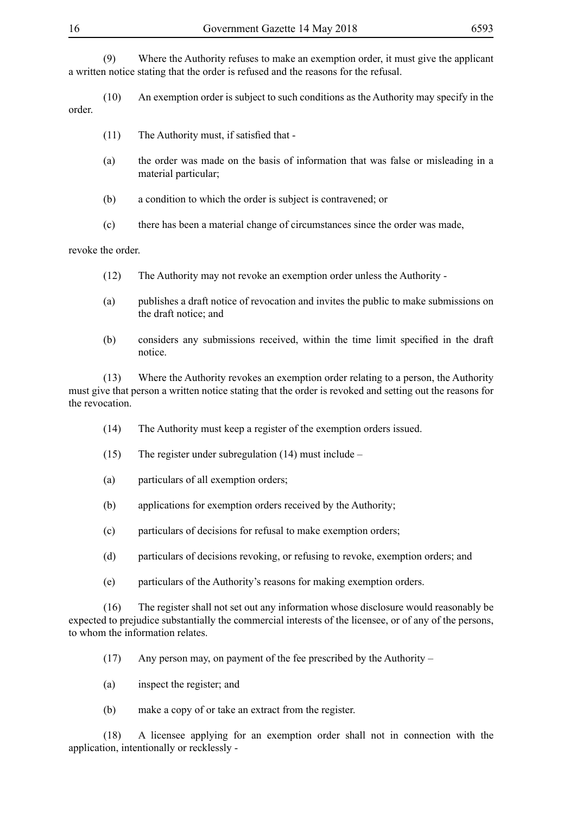(9) Where the Authority refuses to make an exemption order, it must give the applicant a written notice stating that the order is refused and the reasons for the refusal.

(10) An exemption order is subject to such conditions as the Authority may specify in the order.

- $(11)$  The Authority must, if satisfied that -
- (a) the order was made on the basis of information that was false or misleading in a material particular;
- (b) a condition to which the order is subject is contravened; or
- (c) there has been a material change of circumstances since the order was made,

revoke the order.

- (12) The Authority may not revoke an exemption order unless the Authority -
- (a) publishes a draft notice of revocation and invites the public to make submissions on the draft notice; and
- (b) considers any submissions received, within the time limit specified in the draft notice.

(13) Where the Authority revokes an exemption order relating to a person, the Authority must give that person a written notice stating that the order is revoked and setting out the reasons for the revocation.

- (14) The Authority must keep a register of the exemption orders issued.
- (15) The register under subregulation (14) must include –
- (a) particulars of all exemption orders;
- (b) applications for exemption orders received by the Authority;
- (c) particulars of decisions for refusal to make exemption orders;
- (d) particulars of decisions revoking, or refusing to revoke, exemption orders; and
- (e) particulars of the Authority's reasons for making exemption orders.

(16) The register shall not set out any information whose disclosure would reasonably be expected to prejudice substantially the commercial interests of the licensee, or of any of the persons, to whom the information relates.

- (17) Any person may, on payment of the fee prescribed by the Authority –
- (a) inspect the register; and
- (b) make a copy of or take an extract from the register.

(18) A licensee applying for an exemption order shall not in connection with the application, intentionally or recklessly -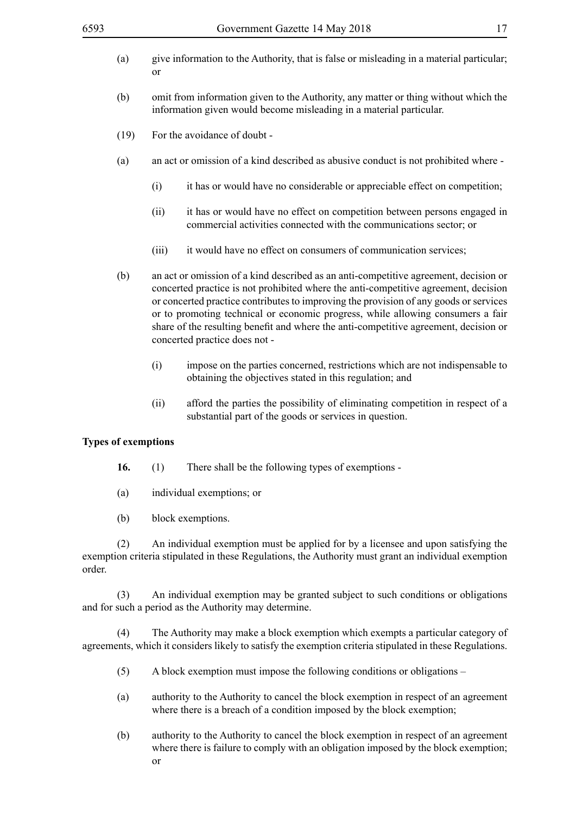- (a) give information to the Authority, that is false or misleading in a material particular; or
- (b) omit from information given to the Authority, any matter or thing without which the information given would become misleading in a material particular.
- (19) For the avoidance of doubt -
- (a) an act or omission of a kind described as abusive conduct is not prohibited where
	- (i) it has or would have no considerable or appreciable effect on competition;
	- (ii) it has or would have no effect on competition between persons engaged in commercial activities connected with the communications sector; or
	- (iii) it would have no effect on consumers of communication services;
- (b) an act or omission of a kind described as an anti-competitive agreement, decision or concerted practice is not prohibited where the anti-competitive agreement, decision or concerted practice contributes to improving the provision of any goods or services or to promoting technical or economic progress, while allowing consumers a fair share of the resulting benefit and where the anti-competitive agreement, decision or concerted practice does not -
	- (i) impose on the parties concerned, restrictions which are not indispensable to obtaining the objectives stated in this regulation; and
	- (ii) afford the parties the possibility of eliminating competition in respect of a substantial part of the goods or services in question.

#### **Types of exemptions**

- **16.** (1) There shall be the following types of exemptions -
- (a) individual exemptions; or
- (b) block exemptions.

(2) An individual exemption must be applied for by a licensee and upon satisfying the exemption criteria stipulated in these Regulations, the Authority must grant an individual exemption order.

(3) An individual exemption may be granted subject to such conditions or obligations and for such a period as the Authority may determine.

(4) The Authority may make a block exemption which exempts a particular category of agreements, which it considers likely to satisfy the exemption criteria stipulated in these Regulations.

- (5) A block exemption must impose the following conditions or obligations –
- (a) authority to the Authority to cancel the block exemption in respect of an agreement where there is a breach of a condition imposed by the block exemption;
- (b) authority to the Authority to cancel the block exemption in respect of an agreement where there is failure to comply with an obligation imposed by the block exemption; or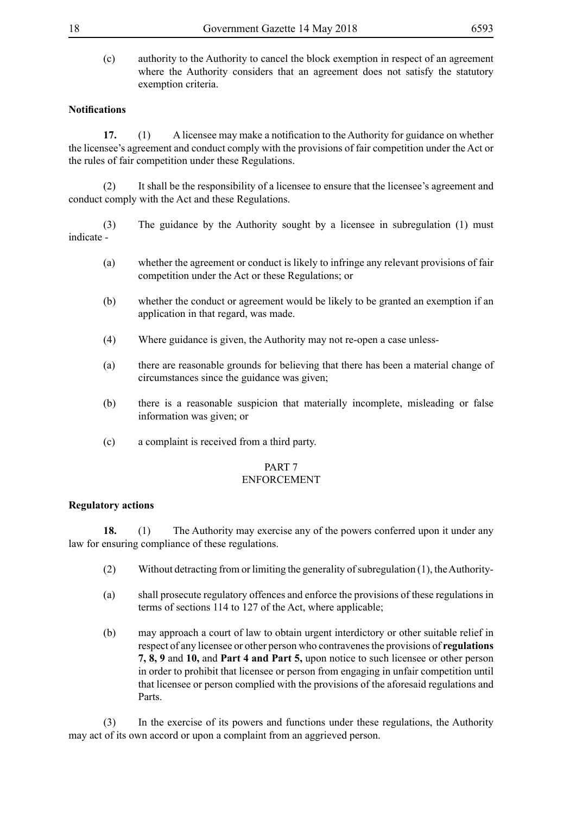(c) authority to the Authority to cancel the block exemption in respect of an agreement where the Authority considers that an agreement does not satisfy the statutory exemption criteria.

# **Notifications**

**17.** (1) A licensee may make a notification to the Authority for guidance on whether the licensee's agreement and conduct comply with the provisions of fair competition under the Act or the rules of fair competition under these Regulations.

(2) It shall be the responsibility of a licensee to ensure that the licensee's agreement and conduct comply with the Act and these Regulations.

(3) The guidance by the Authority sought by a licensee in subregulation (1) must indicate -

- (a) whether the agreement or conduct is likely to infringe any relevant provisions of fair competition under the Act or these Regulations; or
- (b) whether the conduct or agreement would be likely to be granted an exemption if an application in that regard, was made.
- (4) Where guidance is given, the Authority may not re-open a case unless-
- (a) there are reasonable grounds for believing that there has been a material change of circumstances since the guidance was given;
- (b) there is a reasonable suspicion that materially incomplete, misleading or false information was given; or
- (c) a complaint is received from a third party.

# PART 7

# ENFORCEMENT

# **Regulatory actions**

**18.** (1) The Authority may exercise any of the powers conferred upon it under any law for ensuring compliance of these regulations.

- (2) Without detracting from or limiting the generality of subregulation (1), the Authority-
- (a) shall prosecute regulatory offences and enforce the provisions of these regulations in terms of sections 114 to 127 of the Act, where applicable;
- (b) may approach a court of law to obtain urgent interdictory or other suitable relief in respect of any licensee or other person who contravenes the provisions of **regulations 7, 8, 9** and **10,** and **Part 4 and Part 5,** upon notice to such licensee or other person in order to prohibit that licensee or person from engaging in unfair competition until that licensee or person complied with the provisions of the aforesaid regulations and Parts.

(3) In the exercise of its powers and functions under these regulations, the Authority may act of its own accord or upon a complaint from an aggrieved person.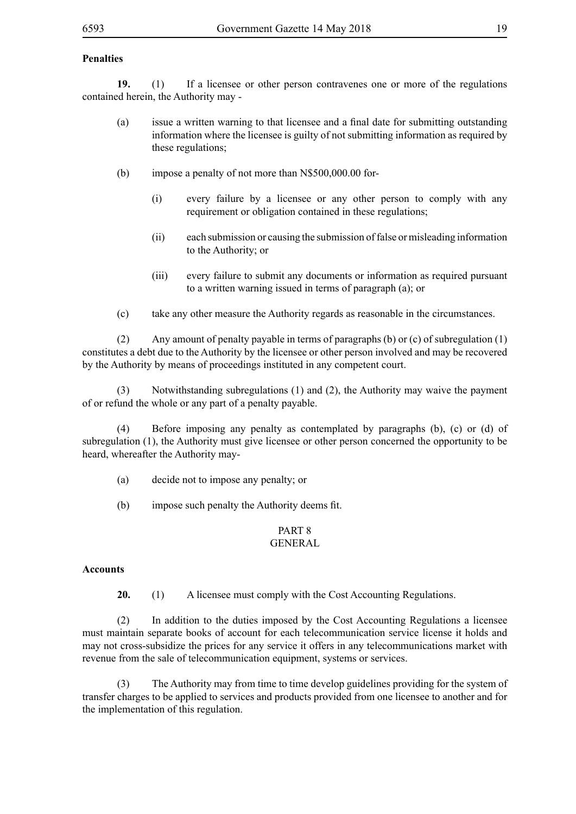# **Penalties**

**19.** (1) If a licensee or other person contravenes one or more of the regulations contained herein, the Authority may -

- (a) issue a written warning to that licensee and a final date for submitting outstanding information where the licensee is guilty of not submitting information as required by these regulations;
- (b) impose a penalty of not more than N\$500,000.00 for-
	- (i) every failure by a licensee or any other person to comply with any requirement or obligation contained in these regulations;
	- (ii) each submission or causing the submission of false or misleading information to the Authority; or
	- (iii) every failure to submit any documents or information as required pursuant to a written warning issued in terms of paragraph (a); or
- (c) take any other measure the Authority regards as reasonable in the circumstances.

(2) Any amount of penalty payable in terms of paragraphs (b) or (c) of subregulation (1) constitutes a debt due to the Authority by the licensee or other person involved and may be recovered by the Authority by means of proceedings instituted in any competent court.

(3) Notwithstanding subregulations (1) and (2), the Authority may waive the payment of or refund the whole or any part of a penalty payable.

 (4) Before imposing any penalty as contemplated by paragraphs (b), (c) or (d) of subregulation (1), the Authority must give licensee or other person concerned the opportunity to be heard, whereafter the Authority may-

- (a) decide not to impose any penalty; or
- (b) impose such penalty the Authority deems fit.

# PART 8

# GENERAL

#### **Accounts**

**20.** (1) A licensee must comply with the Cost Accounting Regulations.

(2) In addition to the duties imposed by the Cost Accounting Regulations a licensee must maintain separate books of account for each telecommunication service license it holds and may not cross-subsidize the prices for any service it offers in any telecommunications market with revenue from the sale of telecommunication equipment, systems or services.

(3) The Authority may from time to time develop guidelines providing for the system of transfer charges to be applied to services and products provided from one licensee to another and for the implementation of this regulation.